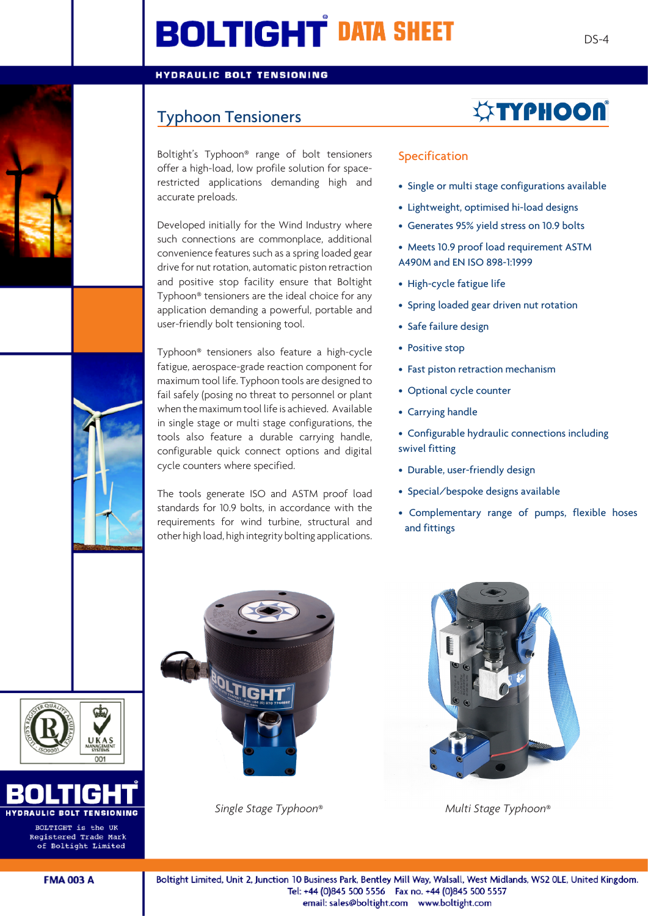# **BOLTIGHT DATA SHEET**

#### **HYDRAULIC BOLT TENSIONING**

### Typhoon Tensioners

Boltight's Typhoon® range of bolt tensioners offer a high-load, low profile solution for spacerestricted applications demanding high and accurate preloads.

Developed initially for the Wind Industry where such connections are commonplace, additional convenience features such as a spring loaded gear drive for nut rotation, automatic piston retraction and positive stop facility ensure that Boltight Typhoon® tensioners are the ideal choice for any application demanding a powerful, portable and user-friendly bolt tensioning tool.

Typhoon® tensioners also feature a high-cycle fatigue, aerospace-grade reaction component for maximum tool life. Typhoon tools are designed to fail safely (posing no threat to personnel or plant when the maximum tool life is achieved. Available in single stage or multi stage configurations, the tools also feature a durable carrying handle, configurable quick connect options and digital cycle counters where specified.

The tools generate ISO and ASTM proof load standards for 10.9 bolts, in accordance with the requirements for wind turbine, structural and other high load, high integrity bolting applications.

# *<b><i>STYPHOON*

#### Specification

- Single or multi stage configurations available
- Lightweight, optimised hi-load designs
- Generates 95% yield stress on 10.9 bolts
- Meets 10.9 proof load requirement ASTM A490M and EN ISO 898-1:1999
- High-cycle fatigue life
- Spring loaded gear driven nut rotation
- Safe failure design
- Positive stop
- Fast piston retraction mechanism
- Optional cycle counter
- Carrying handle
- Configurable hydraulic connections including swivel fitting
- Durable, user-friendly design
- Special/bespoke designs available
- Complementary range of pumps, flexible hoses and fittings







BOLTIC



*Single Stage Typhoon*® *Multi Stage Typhoon*®